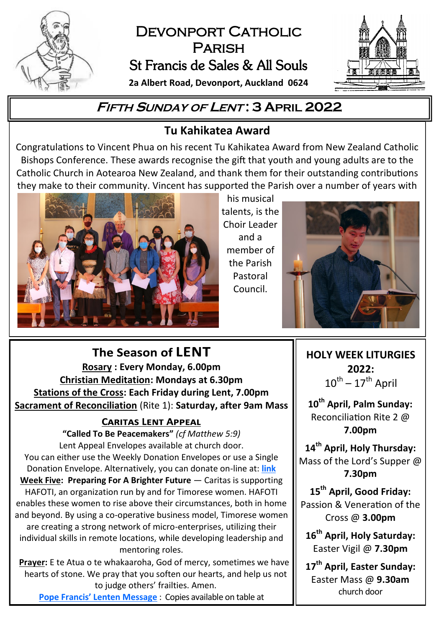

# DEVONPORT CATHOLIC **PARISH** St Francis de Sales & All Souls

**2a Albert Road, Devonport, Auckland 0624**



## **<sup>F</sup>IFTH <sup>S</sup>UNDAY OF <sup>L</sup>ENT : 3 APRIL 2022**

## **Tu Kahikatea Award**

Congratulations to Vincent Phua on his recent Tu Kahikatea Award from New Zealand Catholic Bishops Conference. These awards recognise the gift that youth and young adults are to the Catholic Church in Aotearoa New Zealand, and thank them for their outstanding contributions they make to their community. Vincent has supported the Parish over a number of years with



his musical talents, is the Choir Leader and a member of the Parish Pastoral Council.



**HOLY WEEK LITURGIES 2022:**   $10^{\sf th}$  –  $17^{\sf th}$  April

**10th April, Palm Sunday:** Reconciliation Rite 2 @ **7.00pm**

**14th April, Holy Thursday:** Mass of the Lord's Supper @ **7.30pm**

**15th April, Good Friday:** Passion & Veneration of the Cross @ **3.00pm**

**16th April, Holy Saturday:** Easter Vigil @ **7.30pm**

**17th April, Easter Sunday:** Easter Mass @ **9.30am** church door

The Season of LENT **Rosary : Every Monday, 6.00pm Christian Meditation: Mondays at 6.30pm Stations of the Cross: Each Friday during Lent, 7.00pm Sacrament of Reconciliation** (Rite 1): **Saturday, after 9am Mass**

### **CARITAS LENT APPEAL**

**"Called To Be Peacemakers"** *(cf Matthew 5:9)* Lent Appeal Envelopes available at church door. You can either use the Weekly Donation Envelopes or use a Single Donation Envelope. Alternatively, you can donate on-line at: **[link](https://caritas.org.nz/donate) Week Five: Preparing For A Brighter Future** — Caritas is supporting HAFOTI, an organization run by and for Timorese women. HAFOTI enables these women to rise above their circumstances, both in home and beyond. By using a co-operative business model, Timorese women are creating a strong network of micro-enterprises, utilizing their individual skills in remote locations, while developing leadership and mentoring roles.

**Prayer:** E te Atua o te whakaaroha, God of mercy, sometimes we have hearts of stone. We pray that you soften our hearts, and help us not to judge others' frailties. Amen.

**Pope Francis' [Lenten Message](https://www.vatican.va/content/francesco/en/events/event.dir.html/content/vaticanevents/en/2022/2/24/messaggio-quaresima.html)** : Copies available on table at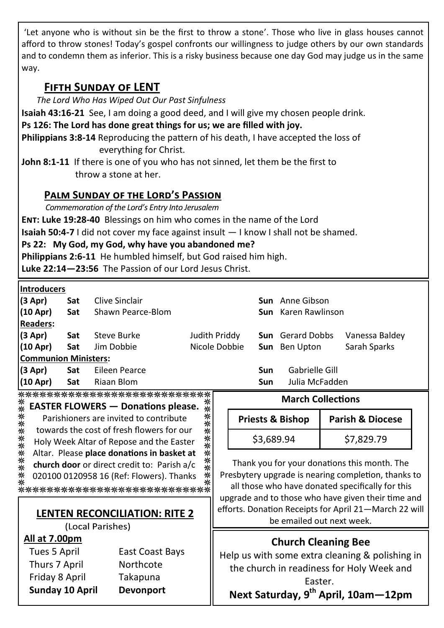'Let anyone who is without sin be the first to throw a stone'. Those who live in glass houses cannot afford to throw stones! Today's gospel confronts our willingness to judge others by our own standards and to condemn them as inferior. This is a risky business because one day God may judge us in the same way.

## **Fifth Sunday of LENT**

*The Lord Who Has Wiped Out Our Past Sinfulness*

**Isaiah 43:16-21** See, I am doing a good deed, and I will give my chosen people drink.

**Ps 126: The Lord has done great things for us; we are filled with joy.**

**Philippians 3:8-14** Reproducing the pattern of his death, I have accepted the loss of everything for Christ.

**John 8:1-11** If there is one of you who has not sinned, let them be the first to throw a stone at her.

#### **Palm Sunday of the Lord's Passion**

*Commemoration of the Lord's Entry Into Jerusalem*

**Ent: Luke 19:28-40** Blessings on him who comes in the name of the Lord

**Isaiah 50:4-7** I did not cover my face against insult — I know I shall not be shamed.

**Ps 22: My God, my God, why have you abandoned me?**

**Philippians 2:6-11** He humbled himself, but God raised him high.

**Luke 22:14—23:56** The Passion of our Lord Jesus Christ.

| <b>Introducers</b>          |     |                                                                                                                 |               |     |                            |                |  |
|-----------------------------|-----|-----------------------------------------------------------------------------------------------------------------|---------------|-----|----------------------------|----------------|--|
| (3 Apr)                     | Sat | Clive Sinclair                                                                                                  |               |     | <b>Sun</b> Anne Gibson     |                |  |
| (10 Apr)                    | Sat | Shawn Pearce-Blom                                                                                               |               |     | <b>Sun</b> Karen Rawlinson |                |  |
| <b>Readers:</b>             |     |                                                                                                                 |               |     |                            |                |  |
| (3 Apr)                     | Sat | Steve Burke                                                                                                     | Judith Priddy |     | <b>Sun</b> Gerard Dobbs    | Vanessa Baldey |  |
| (10 Apr)                    | Sat | Jim Dobbie                                                                                                      | Nicole Dobbie |     | <b>Sun</b> Ben Upton       | Sarah Sparks   |  |
| <b>Communion Ministers:</b> |     |                                                                                                                 |               |     |                            |                |  |
| $(3$ Apr)                   | Sat | Eileen Pearce                                                                                                   |               | Sun | Gabrielle Gill             |                |  |
| (10 Apr)                    | Sat | Riaan Blom                                                                                                      |               | Sun | Julia McFadden             |                |  |
|                             |     | The state state state state state state state state state state state state state state state state state state |               |     |                            |                |  |

\*\*\*\*\*\*\*\*\*\*\*\*\*\*\*\*\*\*\*\*\*\*\*\*\*\*\* ∗

| 孪  | <b>EASTER FLOWERS - Donations please.</b>   | 不米     |
|----|---------------------------------------------|--------|
| ∗  | Parishioners are invited to contribute      | ⋇<br>⋇ |
| ** | towards the cost of fresh flowers for our   | ∗      |
| ** | Holy Week Altar of Repose and the Easter    | **     |
| ∗  | Altar. Please place donations in basket at  | ∗      |
| ** | church door or direct credit to: Parish a/c | **     |
| ∗  | 020100 0120958 16 (Ref: Flowers). Thanks    | ⋇      |
|    | **********************                      |        |

#### **LENTEN RECONCILIATION: RITE 2**

(Local Parishes)

#### **All at 7.00pm**

| <b>Sunday 10 April</b> | <b>Devonport</b> |
|------------------------|------------------|
| Friday 8 April         | Takapuna         |
| Thurs 7 April          | Northcote        |
| Tues 5 April           | East Coast Bays  |

#### **March Collections**

| <b>Priests &amp; Bishop</b> | <b>Parish &amp; Diocese</b> |
|-----------------------------|-----------------------------|
| \$3,689.94                  | \$7,829.79                  |

Thank you for your donations this month. The Presbytery upgrade is nearing completion, thanks to all those who have donated specifically for this upgrade and to those who have given their time and efforts. Donation Receipts for April 21—March 22 will be emailed out next week.

## **Church Cleaning Bee**

Help us with some extra cleaning & polishing in the church in readiness for Holy Week and Easter.

**Next Saturday, 9th April, 10am—12pm**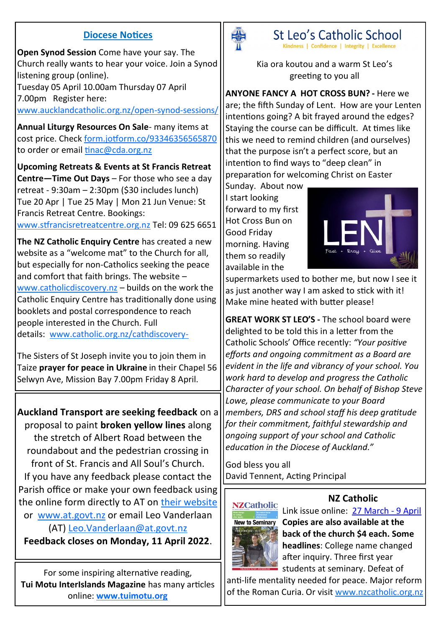#### **Diocese Notices**

**Open Synod Session** Come have your say. The Church really wants to hear your voice. Join a Synod listening group (online). Tuesday 05 April 10.00am Thursday 07 April 7.00pm Register here: [www.aucklandcatholic.org.nz/open](https://www.aucklandcatholic.org.nz/open-synod-sessions/)-synod-sessions/

**Annual Liturgy Resources On Sale**- many items at cost price. Check [form.jotform.co/93346356565870](https://form.jotform.co/93346356565870) to order or email [tinac@cda.org.nz](mailto:tinac@cda.org.nz)

**Upcoming Retreats & Events at St Francis Retreat Centre—Time Out Days** – For those who see a day retreat - 9:30am  $-$  2:30pm (\$30 includes lunch) Tue 20 Apr | Tue 25 May | Mon 21 Jun Venue: St Francis Retreat Centre. Bookings:

[www.stfrancisretreatcentre.org.nz](http://www.stfrancisretreatcentre.org.nz) Tel: 09 625 6651

**The NZ Catholic Enquiry Centre** has created a new website as a "welcome mat" to the Church for all, but especially for non-Catholics seeking the peace and comfort that faith brings. The website – [www.catholicdiscovery.nz](http://www.catholicdiscovery.nz) – builds on the work the Catholic Enquiry Centre has traditionally done using booklets and postal correspondence to reach people interested in the Church. Full details: [www.catholic.org.nz/cathdiscovery](https://www.catholic.org.nz/news/media-releases/cathdiscovery-website/)-

The Sisters of St Joseph invite you to join them in Taize **prayer for peace in Ukraine** in their Chapel 56 Selwyn Ave, Mission Bay 7.00pm Friday 8 April.

**Auckland Transport are seeking feedback** on a proposal to paint **broken yellow lines** along the stretch of Albert Road between the roundabout and the pedestrian crossing in front of St. Francis and All Soul's Church. If you have any feedback please contact the Parish office or make your own feedback using the online form directly to AT on [their website](https://at.govt.nz/about-us/have-your-say/north-auckland-consultations/albert-road-devonport-broken-yellow-lines/) or [www.at.govt.nz](https://at.govt.nz/about-us/have-your-say/north-auckland-consultations/albert-road-devonport-broken-yellow-lines/) or email Leo Vanderlaan (AT) [Leo.Vanderlaan@at.govt.nz](mailto:Leo.Vanderlaan@at.govt.nz) **Feedback closes on Monday, 11 April 2022**.

For some inspiring alternative reading, **Tui Motu InterIslands Magazine** has many articles online: **[www.tuimotu.org](http://www.tuimotu.org)**



St Leo's Catholic School Kindness | Confidence | Integrity | Excellence

Kia ora koutou and a warm St Leo's greeting to you all

**ANYONE FANCY A HOT CROSS BUN? -** Here we are; the fifth Sunday of Lent. How are your Lenten intentions going? A bit frayed around the edges? Staying the course can be difficult. At times like this we need to remind children (and ourselves) that the purpose isn't a perfect score, but an intention to find ways to "deep clean" in preparation for welcoming Christ on Easter

Sunday. About now I start looking forward to my first Hot Cross Bun on Good Friday morning. Having them so readily available in the



supermarkets used to bother me, but now I see it as just another way I am asked to stick with it! Make mine heated with butter please!

**GREAT WORK ST LEO'S -** The school board were delighted to be told this in a letter from the Catholic Schools' Office recently: *"Your positive efforts and ongoing commitment as a Board are evident in the life and vibrancy of your school. You work hard to develop and progress the Catholic Character of your school. On behalf of Bishop Steve Lowe, please communicate to your Board members, DRS and school staff his deep gratitude for their commitment, faithful stewardship and ongoing support of your school and Catholic education in the Diocese of Auckland."*

God bless you all David Tennent, Acting Principal

# **NZCatholic**



Link issue online: [27 March](https://indd.adobe.com/view/020aaf8c-8cb2-45cb-be32-6e89083cecec) - 9 April **Copies are also available at the back of the church \$4 each. Some headlines**: College name changed after inquiry. Three first year students at seminary. Defeat of

**NZ Catholic**

anti-life mentality needed for peace. Major reform of the Roman Curia. Or visit [www.nzcatholic.org.nz](https://nzcatholic.org.nz/)